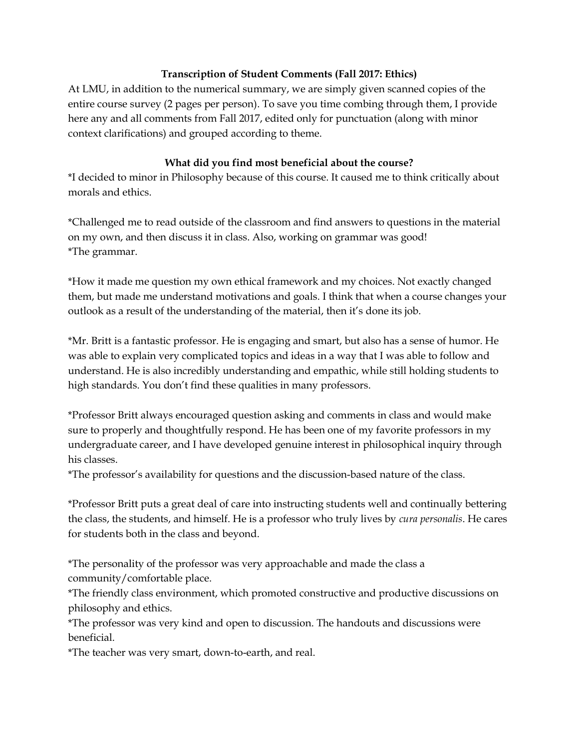## Transcription of Student Comments (Fall 2017: Ethics)

At LMU, in addition to the numerical summary, we are simply given scanned copies of the entire course survey (2 pages per person). To save you time combing through them, I provide here any and all comments from Fall 2017, edited only for punctuation (along with minor context clarifications) and grouped according to theme.

## What did you find most beneficial about the course?

\*I decided to minor in Philosophy because of this course. It caused me to think critically about morals and ethics.

\*Challenged me to read outside of the classroom and find answers to questions in the material on my own, and then discuss it in class. Also, working on grammar was good! \*The grammar.

\*How it made me question my own ethical framework and my choices. Not exactly changed them, but made me understand motivations and goals. I think that when a course changes your outlook as a result of the understanding of the material, then it's done its job.

\*Mr. Britt is a fantastic professor. He is engaging and smart, but also has a sense of humor. He was able to explain very complicated topics and ideas in a way that I was able to follow and understand. He is also incredibly understanding and empathic, while still holding students to high standards. You don't find these qualities in many professors.

\*Professor Britt always encouraged question asking and comments in class and would make sure to properly and thoughtfully respond. He has been one of my favorite professors in my undergraduate career, and I have developed genuine interest in philosophical inquiry through his classes.

\*The professor's availability for questions and the discussion-based nature of the class.

\*Professor Britt puts a great deal of care into instructing students well and continually bettering the class, the students, and himself. He is a professor who truly lives by cura personalis. He cares for students both in the class and beyond.

\*The personality of the professor was very approachable and made the class a community/comfortable place.

\*The friendly class environment, which promoted constructive and productive discussions on philosophy and ethics.

\*The professor was very kind and open to discussion. The handouts and discussions were beneficial.

\*The teacher was very smart, down-to-earth, and real.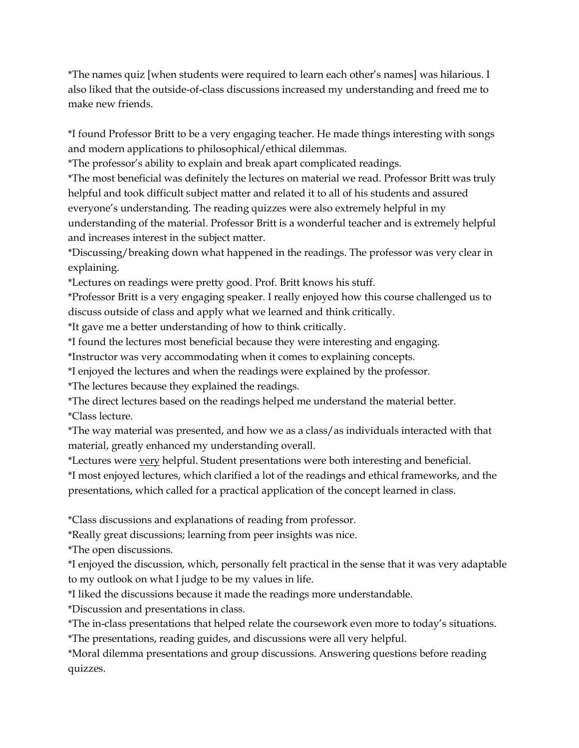\*The names quiz [when students were required to learn each other's names] was hilarious. I also liked that the outside-of-class discussions increased my understanding and freed me to make new friends.

\*I found Professor Britt to be a very engaging teacher. He made things interesting with songs and modern applications to philosophical/ethical dilemmas.

\*The professor's ability to explain and break apart complicated readings.

\*The most beneficial was definitely the lectures on material we read. Professor Britt was truly helpful and took difficult subject matter and related it to all of his students and assured everyone's understanding. The reading quizzes were also extremely helpful in my understanding of the material. Professor Britt is a wonderful teacher and is extremely helpful and increases interest in the subject matter.

\*Discussing/breaking down what happened in the readings. The professor was very clear in explaining.

\*Lectures on readings were pretty good. Prof. Britt knows his stuff.

\*Professor Britt is a very engaging speaker. I really enjoyed how this course challenged us to discuss outside of class and apply what we learned and think critically.

\*It gave me a better understanding of how to think critically.

\*I found the lectures most beneficial because they were interesting and engaging.

\*Instructor was very accommodating when it comes to explaining concepts.

\*I enjoyed the lectures and when the readings were explained by the professor.

\*The lectures because they explained the readings.

\*The direct lectures based on the readings helped me understand the material better. \*Class lecture.

\*The way material was presented, and how we as a class/as individuals interacted with that material, greatly enhanced my understanding overall.

\*Lectures were very helpful. Student presentations were both interesting and beneficial.

\*I most enjoyed lectures, which clarified a lot of the readings and ethical frameworks, and the presentations, which called for a practical application of the concept learned in class.

\*Class discussions and explanations of reading from professor.

\*Really great discussions; learning from peer insights was nice.

\*The open discussions.

\*I enjoyed the discussion, which, personally felt practical in the sense that it was very adaptable to my outlook on what I judge to be my values in life.

\*I liked the discussions because it made the readings more understandable.

\*Discussion and presentations in class.

\*The in-class presentations that helped relate the coursework even more to today's situations.

\*The presentations, reading guides, and discussions were all very helpful.

\*Moral dilemma presentations and group discussions. Answering questions before reading quizzes.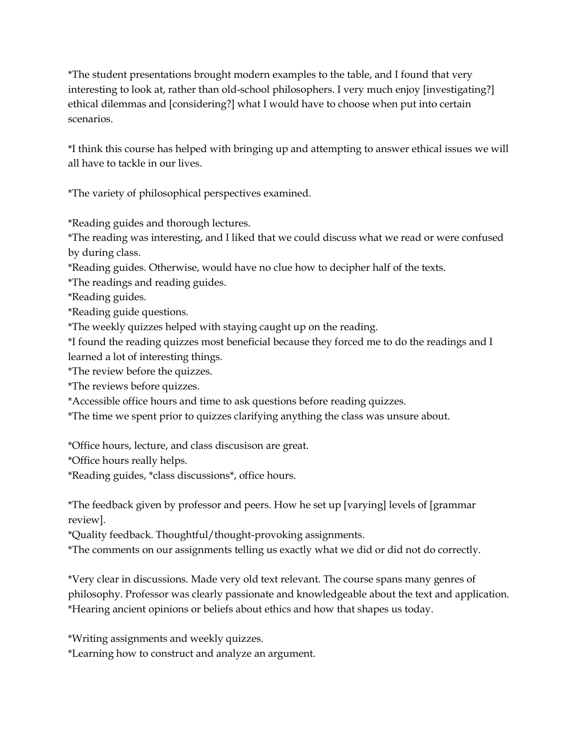\*The student presentations brought modern examples to the table, and I found that very interesting to look at, rather than old-school philosophers. I very much enjoy [investigating?] ethical dilemmas and [considering?] what I would have to choose when put into certain scenarios.

\*I think this course has helped with bringing up and attempting to answer ethical issues we will all have to tackle in our lives.

\*The variety of philosophical perspectives examined.

\*Reading guides and thorough lectures.

\*The reading was interesting, and I liked that we could discuss what we read or were confused by during class.

\*Reading guides. Otherwise, would have no clue how to decipher half of the texts.

\*The readings and reading guides.

\*Reading guides.

\*Reading guide questions.

\*The weekly quizzes helped with staying caught up on the reading.

\*I found the reading quizzes most beneficial because they forced me to do the readings and I learned a lot of interesting things.

\*The review before the quizzes.

\*The reviews before quizzes.

\*Accessible office hours and time to ask questions before reading quizzes.

\*The time we spent prior to quizzes clarifying anything the class was unsure about.

\*Office hours, lecture, and class discusison are great.

\*Office hours really helps.

\*Reading guides, \*class discussions\*, office hours.

\*The feedback given by professor and peers. How he set up [varying] levels of [grammar review].

\*Quality feedback. Thoughtful/thought-provoking assignments.

\*The comments on our assignments telling us exactly what we did or did not do correctly.

\*Very clear in discussions. Made very old text relevant. The course spans many genres of philosophy. Professor was clearly passionate and knowledgeable about the text and application. \*Hearing ancient opinions or beliefs about ethics and how that shapes us today.

\*Writing assignments and weekly quizzes.

\*Learning how to construct and analyze an argument.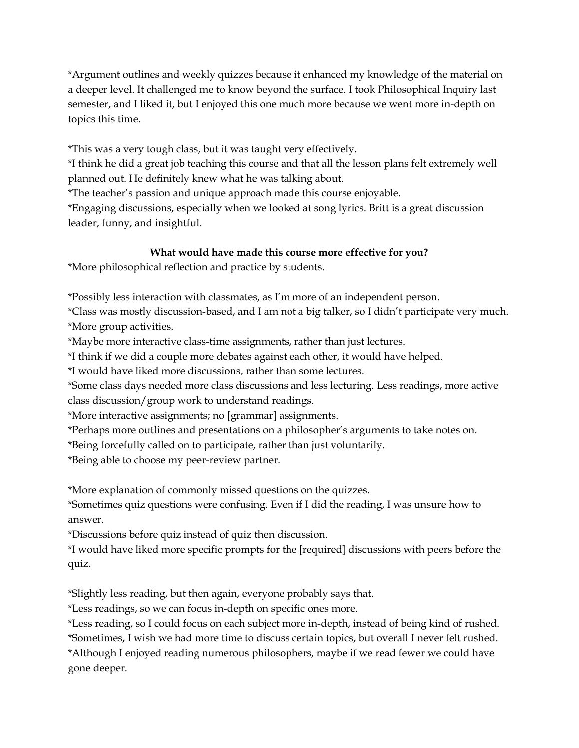\*Argument outlines and weekly quizzes because it enhanced my knowledge of the material on a deeper level. It challenged me to know beyond the surface. I took Philosophical Inquiry last semester, and I liked it, but I enjoyed this one much more because we went more in-depth on topics this time.

\*This was a very tough class, but it was taught very effectively.

\*I think he did a great job teaching this course and that all the lesson plans felt extremely well planned out. He definitely knew what he was talking about.

\*The teacher's passion and unique approach made this course enjoyable.

\*Engaging discussions, especially when we looked at song lyrics. Britt is a great discussion leader, funny, and insightful.

## What would have made this course more effective for you?

\*More philosophical reflection and practice by students.

\*Possibly less interaction with classmates, as I'm more of an independent person.

\*Class was mostly discussion-based, and I am not a big talker, so I didn't participate very much. \*More group activities.

\*Maybe more interactive class-time assignments, rather than just lectures.

\*I think if we did a couple more debates against each other, it would have helped.

\*I would have liked more discussions, rather than some lectures.

\*Some class days needed more class discussions and less lecturing. Less readings, more active class discussion/group work to understand readings.

\*More interactive assignments; no [grammar] assignments.

\*Perhaps more outlines and presentations on a philosopher's arguments to take notes on.

\*Being forcefully called on to participate, rather than just voluntarily.

\*Being able to choose my peer-review partner.

\*More explanation of commonly missed questions on the quizzes.

\*Sometimes quiz questions were confusing. Even if I did the reading, I was unsure how to answer.

\*Discussions before quiz instead of quiz then discussion.

\*I would have liked more specific prompts for the [required] discussions with peers before the quiz.

\*Slightly less reading, but then again, everyone probably says that.

\*Less readings, so we can focus in-depth on specific ones more.

\*Less reading, so I could focus on each subject more in-depth, instead of being kind of rushed.

\*Sometimes, I wish we had more time to discuss certain topics, but overall I never felt rushed.

\*Although I enjoyed reading numerous philosophers, maybe if we read fewer we could have gone deeper.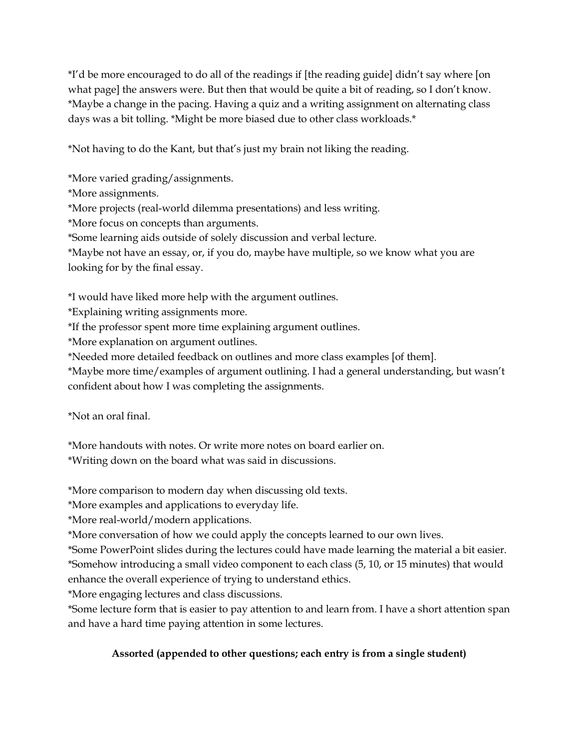\*I'd be more encouraged to do all of the readings if [the reading guide] didn't say where [on what page] the answers were. But then that would be quite a bit of reading, so I don't know. \*Maybe a change in the pacing. Having a quiz and a writing assignment on alternating class days was a bit tolling. \*Might be more biased due to other class workloads.\*

\*Not having to do the Kant, but that's just my brain not liking the reading.

\*More varied grading/assignments.

\*More assignments.

\*More projects (real-world dilemma presentations) and less writing.

\*More focus on concepts than arguments.

\*Some learning aids outside of solely discussion and verbal lecture.

\*Maybe not have an essay, or, if you do, maybe have multiple, so we know what you are looking for by the final essay.

\*I would have liked more help with the argument outlines.

\*Explaining writing assignments more.

\*If the professor spent more time explaining argument outlines.

\*More explanation on argument outlines.

\*Needed more detailed feedback on outlines and more class examples [of them].

\*Maybe more time/examples of argument outlining. I had a general understanding, but wasn't confident about how I was completing the assignments.

\*Not an oral final.

\*More handouts with notes. Or write more notes on board earlier on.

\*Writing down on the board what was said in discussions.

\*More comparison to modern day when discussing old texts.

\*More examples and applications to everyday life.

\*More real-world/modern applications.

\*More conversation of how we could apply the concepts learned to our own lives.

\*Some PowerPoint slides during the lectures could have made learning the material a bit easier. \*Somehow introducing a small video component to each class (5, 10, or 15 minutes) that would enhance the overall experience of trying to understand ethics.

\*More engaging lectures and class discussions.

\*Some lecture form that is easier to pay attention to and learn from. I have a short attention span and have a hard time paying attention in some lectures.

## Assorted (appended to other questions; each entry is from a single student)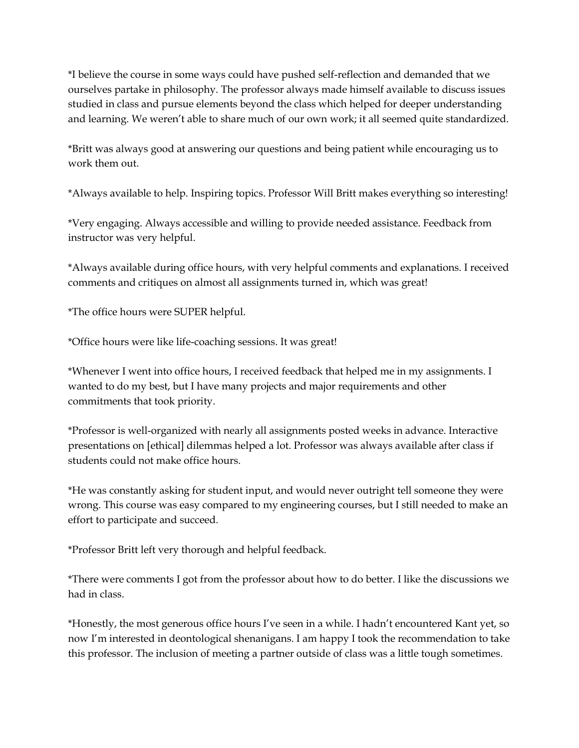\*I believe the course in some ways could have pushed self-reflection and demanded that we ourselves partake in philosophy. The professor always made himself available to discuss issues studied in class and pursue elements beyond the class which helped for deeper understanding and learning. We weren't able to share much of our own work; it all seemed quite standardized.

\*Britt was always good at answering our questions and being patient while encouraging us to work them out.

\*Always available to help. Inspiring topics. Professor Will Britt makes everything so interesting!

\*Very engaging. Always accessible and willing to provide needed assistance. Feedback from instructor was very helpful.

\*Always available during office hours, with very helpful comments and explanations. I received comments and critiques on almost all assignments turned in, which was great!

\*The office hours were SUPER helpful.

\*Office hours were like life-coaching sessions. It was great!

\*Whenever I went into office hours, I received feedback that helped me in my assignments. I wanted to do my best, but I have many projects and major requirements and other commitments that took priority.

\*Professor is well-organized with nearly all assignments posted weeks in advance. Interactive presentations on [ethical] dilemmas helped a lot. Professor was always available after class if students could not make office hours.

\*He was constantly asking for student input, and would never outright tell someone they were wrong. This course was easy compared to my engineering courses, but I still needed to make an effort to participate and succeed.

\*Professor Britt left very thorough and helpful feedback.

\*There were comments I got from the professor about how to do better. I like the discussions we had in class.

\*Honestly, the most generous office hours I've seen in a while. I hadn't encountered Kant yet, so now I'm interested in deontological shenanigans. I am happy I took the recommendation to take this professor. The inclusion of meeting a partner outside of class was a little tough sometimes.